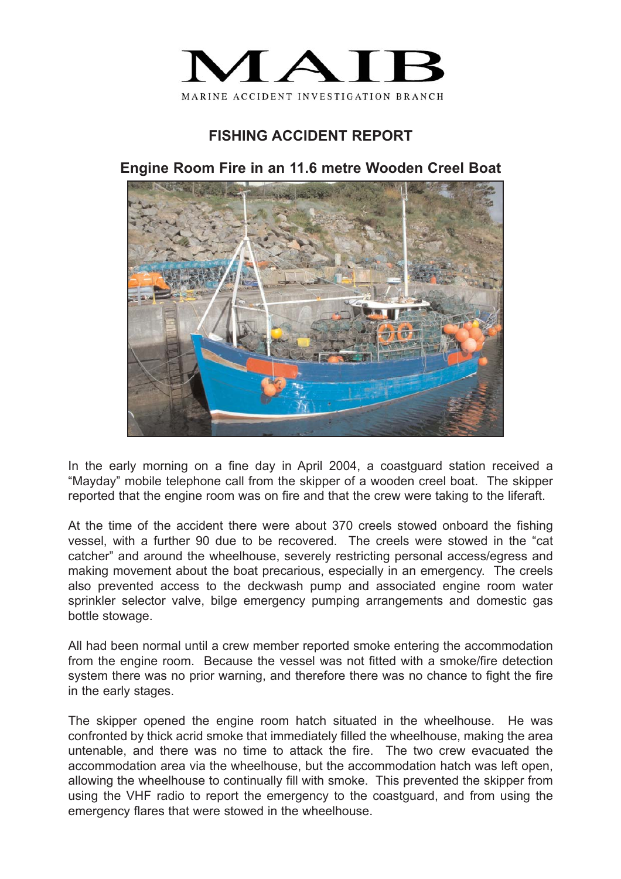

## **FISHING ACCIDENT REPORT**

**Engine Room Fire in an 11.6 metre Wooden Creel Boat**



In the early morning on a fine day in April 2004, a coastguard station received a "Mayday" mobile telephone call from the skipper of a wooden creel boat. The skipper reported that the engine room was on fire and that the crew were taking to the liferaft.

At the time of the accident there were about 370 creels stowed onboard the fishing vessel, with a further 90 due to be recovered. The creels were stowed in the "cat catcher" and around the wheelhouse, severely restricting personal access/egress and making movement about the boat precarious, especially in an emergency. The creels also prevented access to the deckwash pump and associated engine room water sprinkler selector valve, bilge emergency pumping arrangements and domestic gas bottle stowage.

All had been normal until a crew member reported smoke entering the accommodation from the engine room. Because the vessel was not fitted with a smoke/fire detection system there was no prior warning, and therefore there was no chance to fight the fire in the early stages.

The skipper opened the engine room hatch situated in the wheelhouse. He was confronted by thick acrid smoke that immediately filled the wheelhouse, making the area untenable, and there was no time to attack the fire. The two crew evacuated the accommodation area via the wheelhouse, but the accommodation hatch was left open, allowing the wheelhouse to continually fill with smoke. This prevented the skipper from using the VHF radio to report the emergency to the coastguard, and from using the emergency flares that were stowed in the wheelhouse.